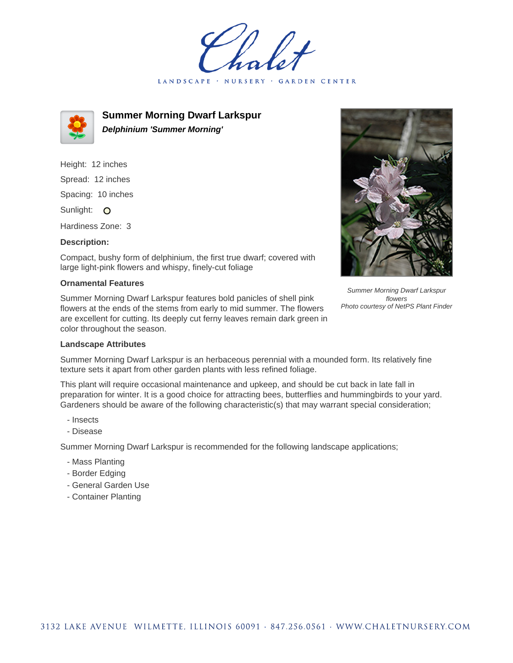LANDSCAPE · NURSERY · GARDEN CENTER



**Summer Morning Dwarf Larkspur Delphinium 'Summer Morning'**

Height: 12 inches Spread: 12 inches Spacing: 10 inches Sunlight: O Hardiness Zone: 3

## **Description:**

Compact, bushy form of delphinium, the first true dwarf; covered with large light-pink flowers and whispy, finely-cut foliage

## **Ornamental Features**

Summer Morning Dwarf Larkspur features bold panicles of shell pink flowers at the ends of the stems from early to mid summer. The flowers are excellent for cutting. Its deeply cut ferny leaves remain dark green in color throughout the season.



Summer Morning Dwarf Larkspur is an herbaceous perennial with a mounded form. Its relatively fine texture sets it apart from other garden plants with less refined foliage.

This plant will require occasional maintenance and upkeep, and should be cut back in late fall in preparation for winter. It is a good choice for attracting bees, butterflies and hummingbirds to your yard. Gardeners should be aware of the following characteristic(s) that may warrant special consideration;

- Insects
- Disease

Summer Morning Dwarf Larkspur is recommended for the following landscape applications;

- Mass Planting
- Border Edging
- General Garden Use
- Container Planting



Summer Morning Dwarf Larkspur flowers Photo courtesy of NetPS Plant Finder